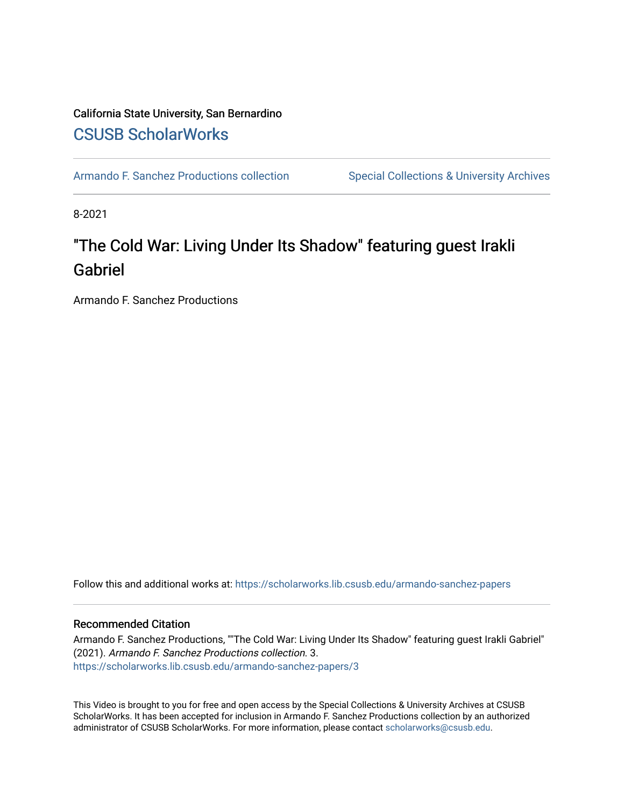### California State University, San Bernardino [CSUSB ScholarWorks](https://scholarworks.lib.csusb.edu/)

[Armando F. Sanchez Productions collection](https://scholarworks.lib.csusb.edu/armando-sanchez-papers) Special Collections & University Archives

8-2021

## "The Cold War: Living Under Its Shadow" featuring guest Irakli Gabriel

Armando F. Sanchez Productions

Follow this and additional works at: [https://scholarworks.lib.csusb.edu/armando-sanchez-papers](https://scholarworks.lib.csusb.edu/armando-sanchez-papers?utm_source=scholarworks.lib.csusb.edu%2Farmando-sanchez-papers%2F3&utm_medium=PDF&utm_campaign=PDFCoverPages) 

#### Recommended Citation

Armando F. Sanchez Productions, ""The Cold War: Living Under Its Shadow" featuring guest Irakli Gabriel" (2021). Armando F. Sanchez Productions collection. 3. [https://scholarworks.lib.csusb.edu/armando-sanchez-papers/3](https://scholarworks.lib.csusb.edu/armando-sanchez-papers/3?utm_source=scholarworks.lib.csusb.edu%2Farmando-sanchez-papers%2F3&utm_medium=PDF&utm_campaign=PDFCoverPages)

This Video is brought to you for free and open access by the Special Collections & University Archives at CSUSB ScholarWorks. It has been accepted for inclusion in Armando F. Sanchez Productions collection by an authorized administrator of CSUSB ScholarWorks. For more information, please contact [scholarworks@csusb.edu](mailto:scholarworks@csusb.edu).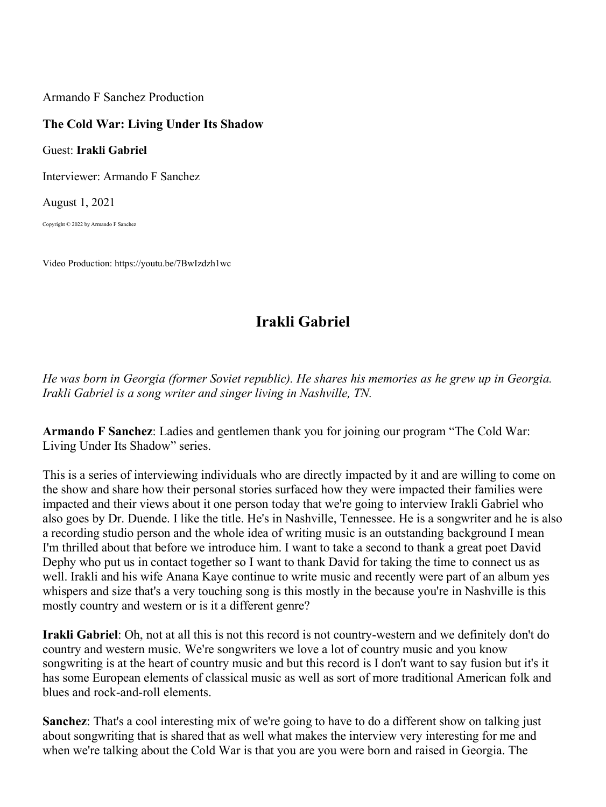Armando F Sanchez Production

## **The Cold War: Living Under Its Shadow**

Guest: **Irakli Gabriel**

Interviewer: Armando F Sanchez

August 1, 2021

Copyright © 2022 by Armando F Sanchez

Video Production: https://youtu.be/7BwIzdzh1wc

# **Irakli Gabriel**

*He was born in Georgia (former Soviet republic). He shares his memories as he grew up in Georgia. Irakli Gabriel is a song writer and singer living in Nashville, TN.* 

**Armando F Sanchez**: Ladies and gentlemen thank you for joining our program "The Cold War: Living Under Its Shadow" series.

This is a series of interviewing individuals who are directly impacted by it and are willing to come on the show and share how their personal stories surfaced how they were impacted their families were impacted and their views about it one person today that we're going to interview Irakli Gabriel who also goes by Dr. Duende. I like the title. He's in Nashville, Tennessee. He is a songwriter and he is also a recording studio person and the whole idea of writing music is an outstanding background I mean I'm thrilled about that before we introduce him. I want to take a second to thank a great poet David Dephy who put us in contact together so I want to thank David for taking the time to connect us as well. Irakli and his wife Anana Kaye continue to write music and recently were part of an album yes whispers and size that's a very touching song is this mostly in the because you're in Nashville is this mostly country and western or is it a different genre?

**Irakli Gabriel**: Oh, not at all this is not this record is not country-western and we definitely don't do country and western music. We're songwriters we love a lot of country music and you know songwriting is at the heart of country music and but this record is I don't want to say fusion but it's it has some European elements of classical music as well as sort of more traditional American folk and blues and rock-and-roll elements.

**Sanchez**: That's a cool interesting mix of we're going to have to do a different show on talking just about songwriting that is shared that as well what makes the interview very interesting for me and when we're talking about the Cold War is that you are you were born and raised in Georgia. The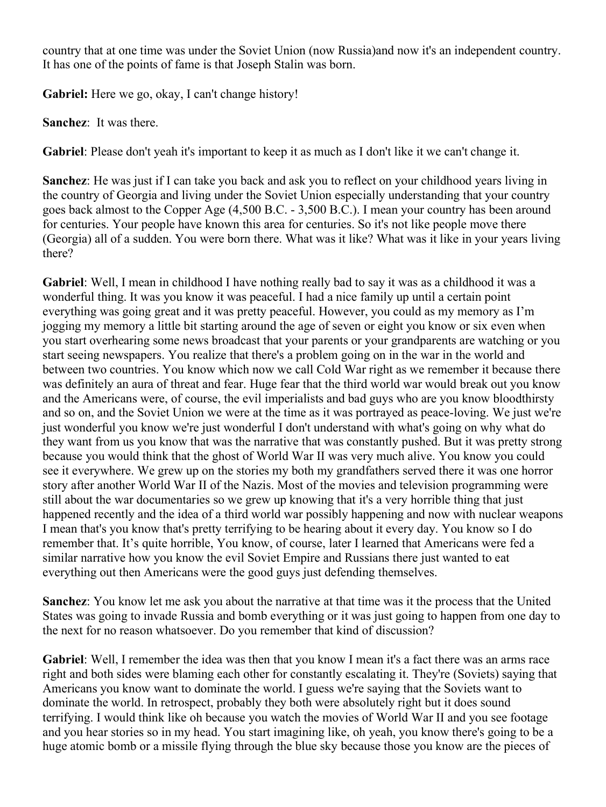country that at one time was under the Soviet Union (now Russia)and now it's an independent country. It has one of the points of fame is that Joseph Stalin was born.

**Gabriel:** Here we go, okay, I can't change history!

**Sanchez**: It was there.

**Gabriel**: Please don't yeah it's important to keep it as much as I don't like it we can't change it.

**Sanchez**: He was just if I can take you back and ask you to reflect on your childhood years living in the country of Georgia and living under the Soviet Union especially understanding that your country goes back almost to the Copper Age (4,500 B.C. - 3,500 B.C.). I mean your country has been around for centuries. Your people have known this area for centuries. So it's not like people move there (Georgia) all of a sudden. You were born there. What was it like? What was it like in your years living there?

**Gabriel**: Well, I mean in childhood I have nothing really bad to say it was as a childhood it was a wonderful thing. It was you know it was peaceful. I had a nice family up until a certain point everything was going great and it was pretty peaceful. However, you could as my memory as I'm jogging my memory a little bit starting around the age of seven or eight you know or six even when you start overhearing some news broadcast that your parents or your grandparents are watching or you start seeing newspapers. You realize that there's a problem going on in the war in the world and between two countries. You know which now we call Cold War right as we remember it because there was definitely an aura of threat and fear. Huge fear that the third world war would break out you know and the Americans were, of course, the evil imperialists and bad guys who are you know bloodthirsty and so on, and the Soviet Union we were at the time as it was portrayed as peace-loving. We just we're just wonderful you know we're just wonderful I don't understand with what's going on why what do they want from us you know that was the narrative that was constantly pushed. But it was pretty strong because you would think that the ghost of World War II was very much alive. You know you could see it everywhere. We grew up on the stories my both my grandfathers served there it was one horror story after another World War II of the Nazis. Most of the movies and television programming were still about the war documentaries so we grew up knowing that it's a very horrible thing that just happened recently and the idea of a third world war possibly happening and now with nuclear weapons I mean that's you know that's pretty terrifying to be hearing about it every day. You know so I do remember that. It's quite horrible, You know, of course, later I learned that Americans were fed a similar narrative how you know the evil Soviet Empire and Russians there just wanted to eat everything out then Americans were the good guys just defending themselves.

**Sanchez**: You know let me ask you about the narrative at that time was it the process that the United States was going to invade Russia and bomb everything or it was just going to happen from one day to the next for no reason whatsoever. Do you remember that kind of discussion?

**Gabriel**: Well, I remember the idea was then that you know I mean it's a fact there was an arms race right and both sides were blaming each other for constantly escalating it. They're (Soviets) saying that Americans you know want to dominate the world. I guess we're saying that the Soviets want to dominate the world. In retrospect, probably they both were absolutely right but it does sound terrifying. I would think like oh because you watch the movies of World War II and you see footage and you hear stories so in my head. You start imagining like, oh yeah, you know there's going to be a huge atomic bomb or a missile flying through the blue sky because those you know are the pieces of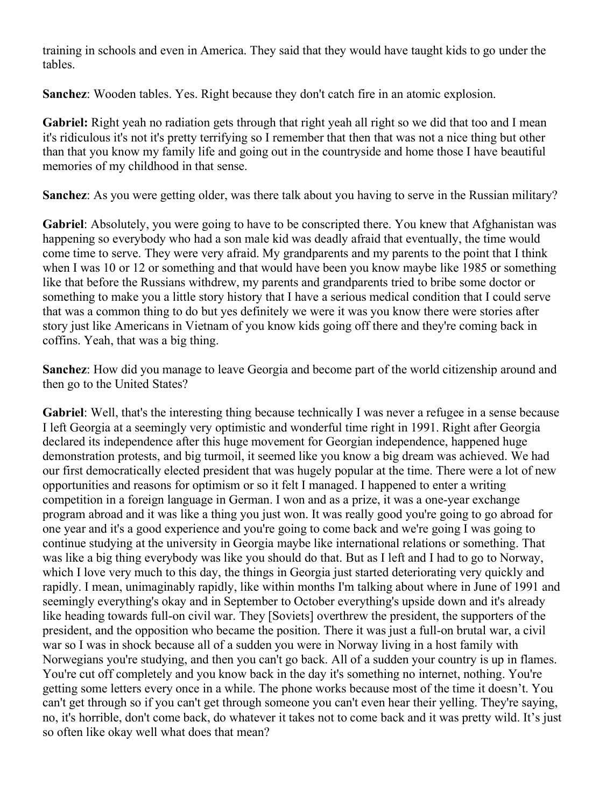training in schools and even in America. They said that they would have taught kids to go under the tables.

**Sanchez**: Wooden tables. Yes. Right because they don't catch fire in an atomic explosion.

**Gabriel:** Right yeah no radiation gets through that right yeah all right so we did that too and I mean it's ridiculous it's not it's pretty terrifying so I remember that then that was not a nice thing but other than that you know my family life and going out in the countryside and home those I have beautiful memories of my childhood in that sense.

**Sanchez**: As you were getting older, was there talk about you having to serve in the Russian military?

**Gabriel**: Absolutely, you were going to have to be conscripted there. You knew that Afghanistan was happening so everybody who had a son male kid was deadly afraid that eventually, the time would come time to serve. They were very afraid. My grandparents and my parents to the point that I think when I was 10 or 12 or something and that would have been you know maybe like 1985 or something like that before the Russians withdrew, my parents and grandparents tried to bribe some doctor or something to make you a little story history that I have a serious medical condition that I could serve that was a common thing to do but yes definitely we were it was you know there were stories after story just like Americans in Vietnam of you know kids going off there and they're coming back in coffins. Yeah, that was a big thing.

**Sanchez**: How did you manage to leave Georgia and become part of the world citizenship around and then go to the United States?

**Gabriel**: Well, that's the interesting thing because technically I was never a refugee in a sense because I left Georgia at a seemingly very optimistic and wonderful time right in 1991. Right after Georgia declared its independence after this huge movement for Georgian independence, happened huge demonstration protests, and big turmoil, it seemed like you know a big dream was achieved. We had our first democratically elected president that was hugely popular at the time. There were a lot of new opportunities and reasons for optimism or so it felt I managed. I happened to enter a writing competition in a foreign language in German. I won and as a prize, it was a one-year exchange program abroad and it was like a thing you just won. It was really good you're going to go abroad for one year and it's a good experience and you're going to come back and we're going I was going to continue studying at the university in Georgia maybe like international relations or something. That was like a big thing everybody was like you should do that. But as I left and I had to go to Norway, which I love very much to this day, the things in Georgia just started deteriorating very quickly and rapidly. I mean, unimaginably rapidly, like within months I'm talking about where in June of 1991 and seemingly everything's okay and in September to October everything's upside down and it's already like heading towards full-on civil war. They [Soviets] overthrew the president, the supporters of the president, and the opposition who became the position. There it was just a full-on brutal war, a civil war so I was in shock because all of a sudden you were in Norway living in a host family with Norwegians you're studying, and then you can't go back. All of a sudden your country is up in flames. You're cut off completely and you know back in the day it's something no internet, nothing. You're getting some letters every once in a while. The phone works because most of the time it doesn't. You can't get through so if you can't get through someone you can't even hear their yelling. They're saying, no, it's horrible, don't come back, do whatever it takes not to come back and it was pretty wild. It's just so often like okay well what does that mean?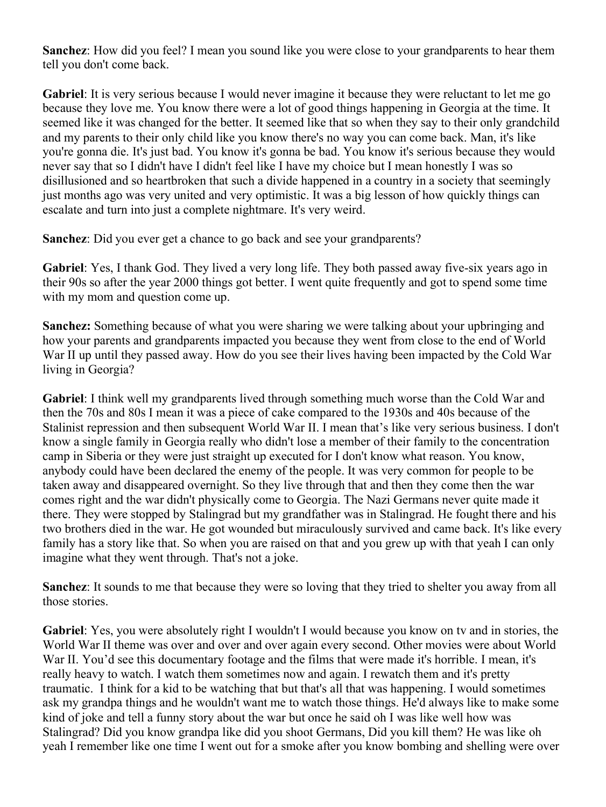**Sanchez**: How did you feel? I mean you sound like you were close to your grandparents to hear them tell you don't come back.

**Gabriel**: It is very serious because I would never imagine it because they were reluctant to let me go because they love me. You know there were a lot of good things happening in Georgia at the time. It seemed like it was changed for the better. It seemed like that so when they say to their only grandchild and my parents to their only child like you know there's no way you can come back. Man, it's like you're gonna die. It's just bad. You know it's gonna be bad. You know it's serious because they would never say that so I didn't have I didn't feel like I have my choice but I mean honestly I was so disillusioned and so heartbroken that such a divide happened in a country in a society that seemingly just months ago was very united and very optimistic. It was a big lesson of how quickly things can escalate and turn into just a complete nightmare. It's very weird.

**Sanchez**: Did you ever get a chance to go back and see your grandparents?

**Gabriel**: Yes, I thank God. They lived a very long life. They both passed away five-six years ago in their 90s so after the year 2000 things got better. I went quite frequently and got to spend some time with my mom and question come up.

**Sanchez:** Something because of what you were sharing we were talking about your upbringing and how your parents and grandparents impacted you because they went from close to the end of World War II up until they passed away. How do you see their lives having been impacted by the Cold War living in Georgia?

**Gabriel**: I think well my grandparents lived through something much worse than the Cold War and then the 70s and 80s I mean it was a piece of cake compared to the 1930s and 40s because of the Stalinist repression and then subsequent World War II. I mean that's like very serious business. I don't know a single family in Georgia really who didn't lose a member of their family to the concentration camp in Siberia or they were just straight up executed for I don't know what reason. You know, anybody could have been declared the enemy of the people. It was very common for people to be taken away and disappeared overnight. So they live through that and then they come then the war comes right and the war didn't physically come to Georgia. The Nazi Germans never quite made it there. They were stopped by Stalingrad but my grandfather was in Stalingrad. He fought there and his two brothers died in the war. He got wounded but miraculously survived and came back. It's like every family has a story like that. So when you are raised on that and you grew up with that yeah I can only imagine what they went through. That's not a joke.

**Sanchez**: It sounds to me that because they were so loving that they tried to shelter you away from all those stories.

**Gabriel**: Yes, you were absolutely right I wouldn't I would because you know on tv and in stories, the World War II theme was over and over and over again every second. Other movies were about World War II. You'd see this documentary footage and the films that were made it's horrible. I mean, it's really heavy to watch. I watch them sometimes now and again. I rewatch them and it's pretty traumatic. I think for a kid to be watching that but that's all that was happening. I would sometimes ask my grandpa things and he wouldn't want me to watch those things. He'd always like to make some kind of joke and tell a funny story about the war but once he said oh I was like well how was Stalingrad? Did you know grandpa like did you shoot Germans, Did you kill them? He was like oh yeah I remember like one time I went out for a smoke after you know bombing and shelling were over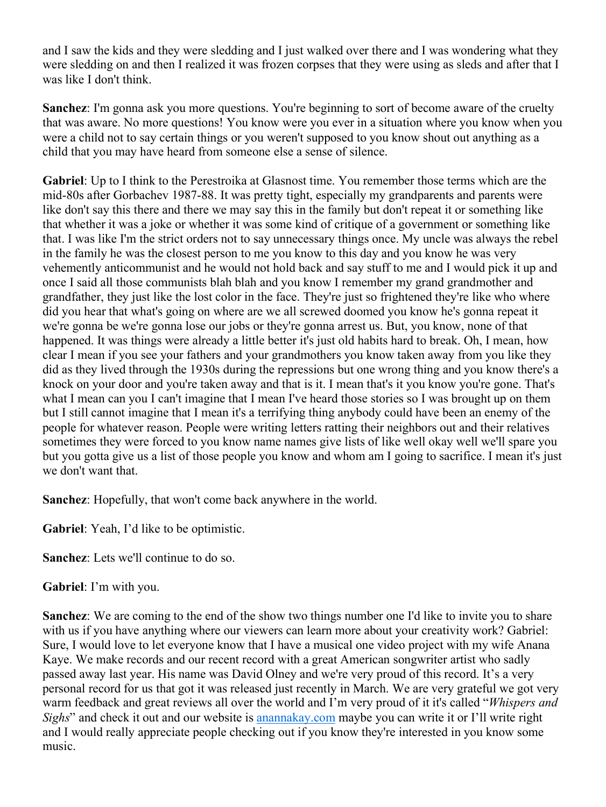and I saw the kids and they were sledding and I just walked over there and I was wondering what they were sledding on and then I realized it was frozen corpses that they were using as sleds and after that I was like I don't think.

**Sanchez**: I'm gonna ask you more questions. You're beginning to sort of become aware of the cruelty that was aware. No more questions! You know were you ever in a situation where you know when you were a child not to say certain things or you weren't supposed to you know shout out anything as a child that you may have heard from someone else a sense of silence.

**Gabriel**: Up to I think to the Perestroika at Glasnost time. You remember those terms which are the mid-80s after Gorbachev 1987-88. It was pretty tight, especially my grandparents and parents were like don't say this there and there we may say this in the family but don't repeat it or something like that whether it was a joke or whether it was some kind of critique of a government or something like that. I was like I'm the strict orders not to say unnecessary things once. My uncle was always the rebel in the family he was the closest person to me you know to this day and you know he was very vehemently anticommunist and he would not hold back and say stuff to me and I would pick it up and once I said all those communists blah blah and you know I remember my grand grandmother and grandfather, they just like the lost color in the face. They're just so frightened they're like who where did you hear that what's going on where are we all screwed doomed you know he's gonna repeat it we're gonna be we're gonna lose our jobs or they're gonna arrest us. But, you know, none of that happened. It was things were already a little better it's just old habits hard to break. Oh, I mean, how clear I mean if you see your fathers and your grandmothers you know taken away from you like they did as they lived through the 1930s during the repressions but one wrong thing and you know there's a knock on your door and you're taken away and that is it. I mean that's it you know you're gone. That's what I mean can you I can't imagine that I mean I've heard those stories so I was brought up on them but I still cannot imagine that I mean it's a terrifying thing anybody could have been an enemy of the people for whatever reason. People were writing letters ratting their neighbors out and their relatives sometimes they were forced to you know name names give lists of like well okay well we'll spare you but you gotta give us a list of those people you know and whom am I going to sacrifice. I mean it's just we don't want that.

**Sanchez**: Hopefully, that won't come back anywhere in the world.

**Gabriel**: Yeah, I'd like to be optimistic.

**Sanchez**: Lets we'll continue to do so.

**Gabriel**: I'm with you.

**Sanchez**: We are coming to the end of the show two things number one I'd like to invite you to share with us if you have anything where our viewers can learn more about your creativity work? Gabriel: Sure, I would love to let everyone know that I have a musical one video project with my wife Anana Kaye. We make records and our recent record with a great American songwriter artist who sadly passed away last year. His name was David Olney and we're very proud of this record. It's a very personal record for us that got it was released just recently in March. We are very grateful we got very warm feedback and great reviews all over the world and I'm very proud of it it's called "*Whispers and Sighs*" and check it out and our website is anannakay.com maybe you can write it or I'll write right and I would really appreciate people checking out if you know they're interested in you know some music.